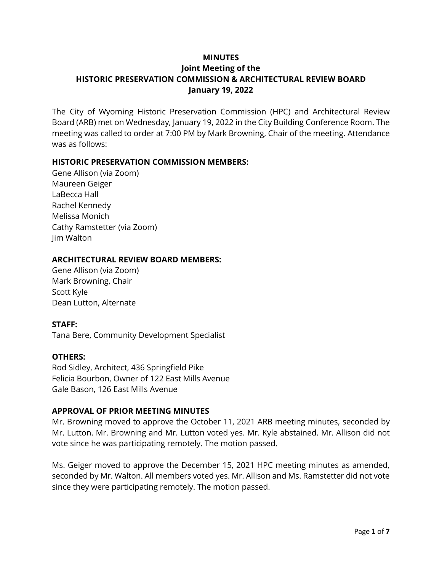## **MINUTES**

## **Joint Meeting of the HISTORIC PRESERVATION COMMISSION & ARCHITECTURAL REVIEW BOARD January 19, 2022**

The City of Wyoming Historic Preservation Commission (HPC) and Architectural Review Board (ARB) met on Wednesday, January 19, 2022 in the City Building Conference Room. The meeting was called to order at 7:00 PM by Mark Browning, Chair of the meeting. Attendance was as follows:

## **HISTORIC PRESERVATION COMMISSION MEMBERS:**

Gene Allison (via Zoom) Maureen Geiger LaBecca Hall Rachel Kennedy Melissa Monich Cathy Ramstetter (via Zoom) Jim Walton

#### **ARCHITECTURAL REVIEW BOARD MEMBERS:**

Gene Allison (via Zoom) Mark Browning, Chair Scott Kyle Dean Lutton, Alternate

#### **STAFF:**

Tana Bere, Community Development Specialist

#### **OTHERS:**

Rod Sidley, Architect, 436 Springfield Pike Felicia Bourbon, Owner of 122 East Mills Avenue Gale Bason, 126 East Mills Avenue

#### **APPROVAL OF PRIOR MEETING MINUTES**

Mr. Browning moved to approve the October 11, 2021 ARB meeting minutes, seconded by Mr. Lutton. Mr. Browning and Mr. Lutton voted yes. Mr. Kyle abstained. Mr. Allison did not vote since he was participating remotely. The motion passed.

Ms. Geiger moved to approve the December 15, 2021 HPC meeting minutes as amended, seconded by Mr. Walton. All members voted yes. Mr. Allison and Ms. Ramstetter did not vote since they were participating remotely. The motion passed.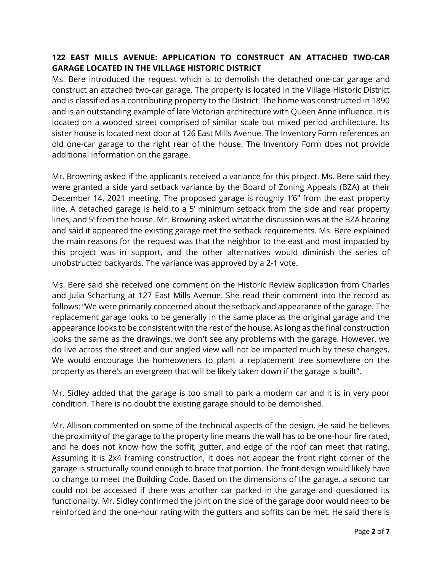# **122 EAST MILLS AVENUE: APPLICATION TO CONSTRUCT AN ATTACHED TWO-CAR GARAGE LOCATED IN THE VILLAGE HISTORIC DISTRICT**

Ms. Bere introduced the request which is to demolish the detached one-car garage and construct an attached two-car garage. The property is located in the Village Historic District and is classified as a contributing property to the District. The home was constructed in 1890 and is an outstanding example of late Victorian architecture with Queen Anne influence. It is located on a wooded street comprised of similar scale but mixed period architecture. Its sister house is located next door at 126 East Mills Avenue. The Inventory Form references an old one-car garage to the right rear of the house. The Inventory Form does not provide additional information on the garage.

Mr. Browning asked if the applicants received a variance for this project. Ms. Bere said they were granted a side yard setback variance by the Board of Zoning Appeals (BZA) at their December 14, 2021 meeting. The proposed garage is roughly 1'6" from the east property line. A detached garage is held to a 5' minimum setback from the side and rear property lines, and 5' from the house. Mr. Browning asked what the discussion was at the BZA hearing and said it appeared the existing garage met the setback requirements. Ms. Bere explained the main reasons for the request was that the neighbor to the east and most impacted by this project was in support, and the other alternatives would diminish the series of unobstructed backyards. The variance was approved by a 2-1 vote.

Ms. Bere said she received one comment on the Historic Review application from Charles and Julia Schartung at 127 East Mills Avenue. She read their comment into the record as follows: "We were primarily concerned about the setback and appearance of the garage. The replacement garage looks to be generally in the same place as the original garage and the appearance looks to be consistent with the rest of the house. As long as the final construction looks the same as the drawings, we don't see any problems with the garage. However, we do live across the street and our angled view will not be impacted much by these changes. We would encourage the homeowners to plant a replacement tree somewhere on the property as there's an evergreen that will be likely taken down if the garage is built".

Mr. Sidley added that the garage is too small to park a modern car and it is in very poor condition. There is no doubt the existing garage should to be demolished.

Mr. Allison commented on some of the technical aspects of the design. He said he believes the proximity of the garage to the property line means the wall has to be one-hour fire rated, and he does not know how the soffit, gutter, and edge of the roof can meet that rating. Assuming it is 2x4 framing construction, it does not appear the front right corner of the garage is structurally sound enough to brace that portion. The front design would likely have to change to meet the Building Code. Based on the dimensions of the garage, a second car could not be accessed if there was another car parked in the garage and questioned its functionality. Mr. Sidley confirmed the joint on the side of the garage door would need to be reinforced and the one-hour rating with the gutters and soffits can be met. He said there is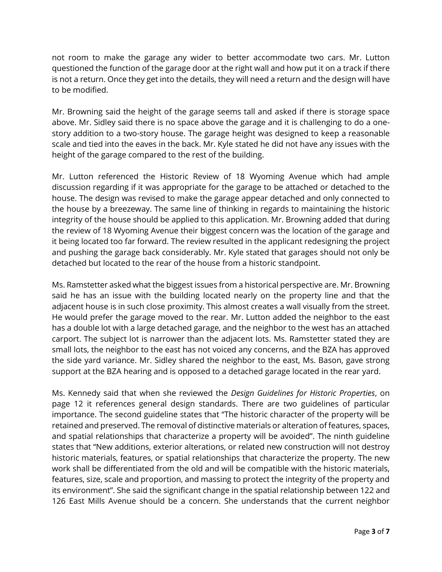not room to make the garage any wider to better accommodate two cars. Mr. Lutton questioned the function of the garage door at the right wall and how put it on a track if there is not a return. Once they get into the details, they will need a return and the design will have to be modified.

Mr. Browning said the height of the garage seems tall and asked if there is storage space above. Mr. Sidley said there is no space above the garage and it is challenging to do a onestory addition to a two-story house. The garage height was designed to keep a reasonable scale and tied into the eaves in the back. Mr. Kyle stated he did not have any issues with the height of the garage compared to the rest of the building.

Mr. Lutton referenced the Historic Review of 18 Wyoming Avenue which had ample discussion regarding if it was appropriate for the garage to be attached or detached to the house. The design was revised to make the garage appear detached and only connected to the house by a breezeway. The same line of thinking in regards to maintaining the historic integrity of the house should be applied to this application. Mr. Browning added that during the review of 18 Wyoming Avenue their biggest concern was the location of the garage and it being located too far forward. The review resulted in the applicant redesigning the project and pushing the garage back considerably. Mr. Kyle stated that garages should not only be detached but located to the rear of the house from a historic standpoint.

Ms. Ramstetter asked what the biggest issues from a historical perspective are. Mr. Browning said he has an issue with the building located nearly on the property line and that the adjacent house is in such close proximity. This almost creates a wall visually from the street. He would prefer the garage moved to the rear. Mr. Lutton added the neighbor to the east has a double lot with a large detached garage, and the neighbor to the west has an attached carport. The subject lot is narrower than the adjacent lots. Ms. Ramstetter stated they are small lots, the neighbor to the east has not voiced any concerns, and the BZA has approved the side yard variance. Mr. Sidley shared the neighbor to the east, Ms. Bason, gave strong support at the BZA hearing and is opposed to a detached garage located in the rear yard.

Ms. Kennedy said that when she reviewed the *Design Guidelines for Historic Properties*, on page 12 it references general design standards. There are two guidelines of particular importance. The second guideline states that "The historic character of the property will be retained and preserved. The removal of distinctive materials or alteration of features, spaces, and spatial relationships that characterize a property will be avoided". The ninth guideline states that "New additions, exterior alterations, or related new construction will not destroy historic materials, features, or spatial relationships that characterize the property. The new work shall be differentiated from the old and will be compatible with the historic materials, features, size, scale and proportion, and massing to protect the integrity of the property and its environment". She said the significant change in the spatial relationship between 122 and 126 East Mills Avenue should be a concern. She understands that the current neighbor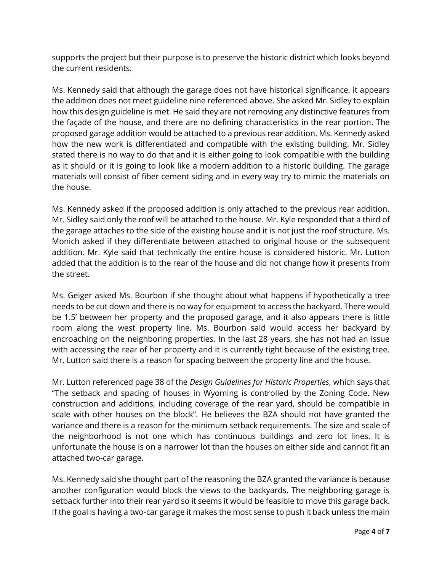supports the project but their purpose is to preserve the historic district which looks beyond the current residents.

Ms. Kennedy said that although the garage does not have historical significance, it appears the addition does not meet guideline nine referenced above. She asked Mr. Sidley to explain how this design guideline is met. He said they are not removing any distinctive features from the façade of the house, and there are no defining characteristics in the rear portion. The proposed garage addition would be attached to a previous rear addition. Ms. Kennedy asked how the new work is differentiated and compatible with the existing building. Mr. Sidley stated there is no way to do that and it is either going to look compatible with the building as it should or it is going to look like a modern addition to a historic building. The garage materials will consist of fiber cement siding and in every way try to mimic the materials on the house.

Ms. Kennedy asked if the proposed addition is only attached to the previous rear addition. Mr. Sidley said only the roof will be attached to the house. Mr. Kyle responded that a third of the garage attaches to the side of the existing house and it is not just the roof structure. Ms. Monich asked if they differentiate between attached to original house or the subsequent addition. Mr. Kyle said that technically the entire house is considered historic. Mr. Lutton added that the addition is to the rear of the house and did not change how it presents from the street.

Ms. Geiger asked Ms. Bourbon if she thought about what happens if hypothetically a tree needs to be cut down and there is no way for equipment to access the backyard. There would be 1.5' between her property and the proposed garage, and it also appears there is little room along the west property line. Ms. Bourbon said would access her backyard by encroaching on the neighboring properties. In the last 28 years, she has not had an issue with accessing the rear of her property and it is currently tight because of the existing tree. Mr. Lutton said there is a reason for spacing between the property line and the house.

Mr. Lutton referenced page 38 of the *Design Guidelines for Historic Properties*, which says that "The setback and spacing of houses in Wyoming is controlled by the Zoning Code. New construction and additions, including coverage of the rear yard, should be compatible in scale with other houses on the block". He believes the BZA should not have granted the variance and there is a reason for the minimum setback requirements. The size and scale of the neighborhood is not one which has continuous buildings and zero lot lines. It is unfortunate the house is on a narrower lot than the houses on either side and cannot fit an attached two-car garage.

Ms. Kennedy said she thought part of the reasoning the BZA granted the variance is because another configuration would block the views to the backyards. The neighboring garage is setback further into their rear yard so it seems it would be feasible to move this garage back. If the goal is having a two-car garage it makes the most sense to push it back unless the main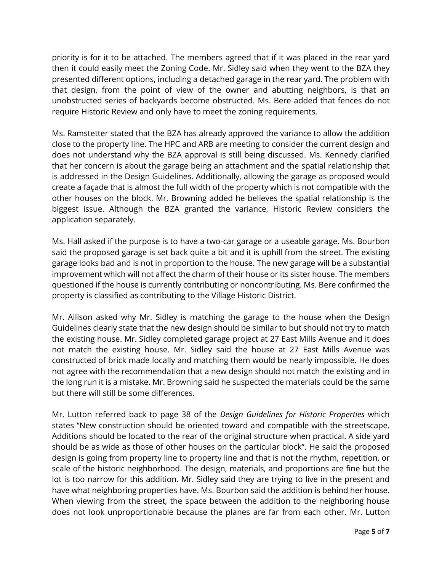priority is for it to be attached. The members agreed that if it was placed in the rear yard then it could easily meet the Zoning Code. Mr. Sidley said when they went to the BZA they presented different options, including a detached garage in the rear yard. The problem with that design, from the point of view of the owner and abutting neighbors, is that an unobstructed series of backyards become obstructed. Ms. Bere added that fences do not require Historic Review and only have to meet the zoning requirements.

Ms. Ramstetter stated that the BZA has already approved the variance to allow the addition close to the property line. The HPC and ARB are meeting to consider the current design and does not understand why the BZA approval is still being discussed. Ms. Kennedy clarified that her concern is about the garage being an attachment and the spatial relationship that is addressed in the Design Guidelines. Additionally, allowing the garage as proposed would create a façade that is almost the full width of the property which is not compatible with the other houses on the block. Mr. Browning added he believes the spatial relationship is the biggest issue. Although the BZA granted the variance, Historic Review considers the application separately.

Ms. Hall asked if the purpose is to have a two-car garage or a useable garage. Ms. Bourbon said the proposed garage is set back quite a bit and it is uphill from the street. The existing garage looks bad and is not in proportion to the house. The new garage will be a substantial improvement which will not affect the charm of their house or its sister house. The members questioned if the house is currently contributing or noncontributing. Ms. Bere confirmed the property is classified as contributing to the Village Historic District.

Mr. Allison asked why Mr. Sidley is matching the garage to the house when the Design Guidelines clearly state that the new design should be similar to but should not try to match the existing house. Mr. Sidley completed garage project at 27 East Mills Avenue and it does not match the existing house. Mr. Sidley said the house at 27 East Mills Avenue was constructed of brick made locally and matching them would be nearly impossible. He does not agree with the recommendation that a new design should not match the existing and in the long run it is a mistake. Mr. Browning said he suspected the materials could be the same but there will still be some differences.

Mr. Lutton referred back to page 38 of the *Design Guidelines for Historic Properties* which states "New construction should be oriented toward and compatible with the streetscape. Additions should be located to the rear of the original structure when practical. A side yard should be as wide as those of other houses on the particular block". He said the proposed design is going from property line to property line and that is not the rhythm, repetition, or scale of the historic neighborhood. The design, materials, and proportions are fine but the lot is too narrow for this addition. Mr. Sidley said they are trying to live in the present and have what neighboring properties have. Ms. Bourbon said the addition is behind her house. When viewing from the street, the space between the addition to the neighboring house does not look unproportionable because the planes are far from each other. Mr. Lutton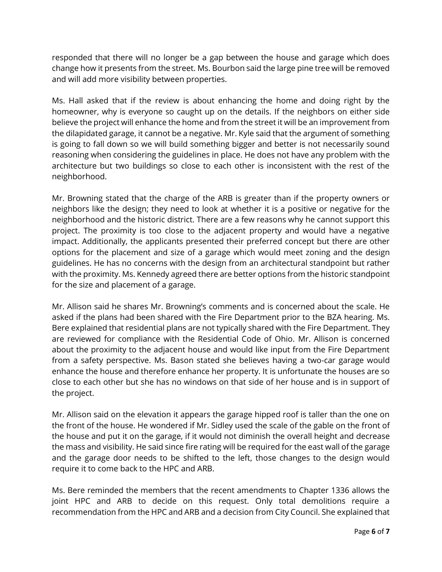responded that there will no longer be a gap between the house and garage which does change how it presents from the street. Ms. Bourbon said the large pine tree will be removed and will add more visibility between properties.

Ms. Hall asked that if the review is about enhancing the home and doing right by the homeowner, why is everyone so caught up on the details. If the neighbors on either side believe the project will enhance the home and from the street it will be an improvement from the dilapidated garage, it cannot be a negative. Mr. Kyle said that the argument of something is going to fall down so we will build something bigger and better is not necessarily sound reasoning when considering the guidelines in place. He does not have any problem with the architecture but two buildings so close to each other is inconsistent with the rest of the neighborhood.

Mr. Browning stated that the charge of the ARB is greater than if the property owners or neighbors like the design; they need to look at whether it is a positive or negative for the neighborhood and the historic district. There are a few reasons why he cannot support this project. The proximity is too close to the adjacent property and would have a negative impact. Additionally, the applicants presented their preferred concept but there are other options for the placement and size of a garage which would meet zoning and the design guidelines. He has no concerns with the design from an architectural standpoint but rather with the proximity. Ms. Kennedy agreed there are better options from the historic standpoint for the size and placement of a garage.

Mr. Allison said he shares Mr. Browning's comments and is concerned about the scale. He asked if the plans had been shared with the Fire Department prior to the BZA hearing. Ms. Bere explained that residential plans are not typically shared with the Fire Department. They are reviewed for compliance with the Residential Code of Ohio. Mr. Allison is concerned about the proximity to the adjacent house and would like input from the Fire Department from a safety perspective. Ms. Bason stated she believes having a two-car garage would enhance the house and therefore enhance her property. It is unfortunate the houses are so close to each other but she has no windows on that side of her house and is in support of the project.

Mr. Allison said on the elevation it appears the garage hipped roof is taller than the one on the front of the house. He wondered if Mr. Sidley used the scale of the gable on the front of the house and put it on the garage, if it would not diminish the overall height and decrease the mass and visibility. He said since fire rating will be required for the east wall of the garage and the garage door needs to be shifted to the left, those changes to the design would require it to come back to the HPC and ARB.

Ms. Bere reminded the members that the recent amendments to Chapter 1336 allows the joint HPC and ARB to decide on this request. Only total demolitions require a recommendation from the HPC and ARB and a decision from City Council. She explained that